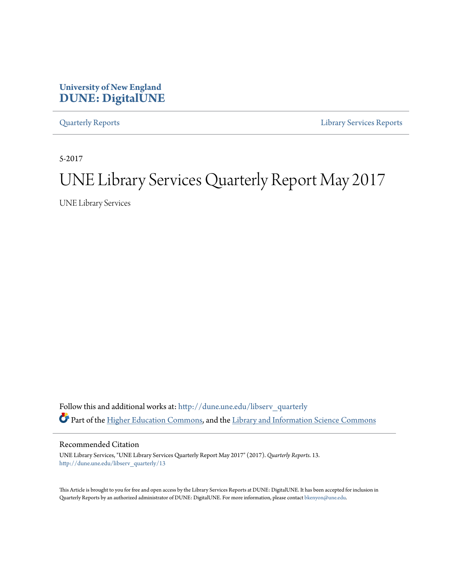## **University of New England [DUNE: DigitalUNE](http://dune.une.edu?utm_source=dune.une.edu%2Flibserv_quarterly%2F13&utm_medium=PDF&utm_campaign=PDFCoverPages)**

[Quarterly Reports](http://dune.une.edu/libserv_quarterly?utm_source=dune.une.edu%2Flibserv_quarterly%2F13&utm_medium=PDF&utm_campaign=PDFCoverPages) [Library Services Reports](http://dune.une.edu/libserv_reports?utm_source=dune.une.edu%2Flibserv_quarterly%2F13&utm_medium=PDF&utm_campaign=PDFCoverPages)

5-2017

# UNE Library Services Quarterly Report May 2017

UNE Library Services

Follow this and additional works at: [http://dune.une.edu/libserv\\_quarterly](http://dune.une.edu/libserv_quarterly?utm_source=dune.une.edu%2Flibserv_quarterly%2F13&utm_medium=PDF&utm_campaign=PDFCoverPages) Part of the [Higher Education Commons](http://network.bepress.com/hgg/discipline/1245?utm_source=dune.une.edu%2Flibserv_quarterly%2F13&utm_medium=PDF&utm_campaign=PDFCoverPages), and the [Library and Information Science Commons](http://network.bepress.com/hgg/discipline/1018?utm_source=dune.une.edu%2Flibserv_quarterly%2F13&utm_medium=PDF&utm_campaign=PDFCoverPages)

Recommended Citation

UNE Library Services, "UNE Library Services Quarterly Report May 2017" (2017). *Quarterly Reports*. 13. [http://dune.une.edu/libserv\\_quarterly/13](http://dune.une.edu/libserv_quarterly/13?utm_source=dune.une.edu%2Flibserv_quarterly%2F13&utm_medium=PDF&utm_campaign=PDFCoverPages)

This Article is brought to you for free and open access by the Library Services Reports at DUNE: DigitalUNE. It has been accepted for inclusion in Quarterly Reports by an authorized administrator of DUNE: DigitalUNE. For more information, please contact [bkenyon@une.edu.](mailto:bkenyon@une.edu)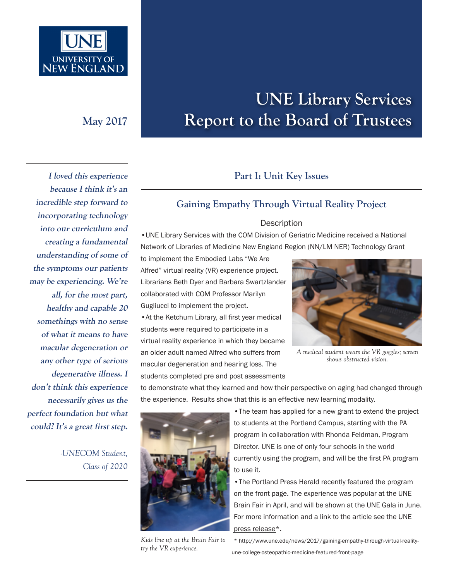

# **UNE Library Services May 2017 Report to the Board of Trustees**

# **I loved this experience because I think it's an incredible step forward to incorporating technology into our curriculum and creating a fundamental understanding of some of the symptoms our patients may be experiencing. We're all, for the most part, healthy and capable 20 somethings with no sense of what it means to have macular degeneration or any other type of serious degenerative illness. I don't think this experience necessarily gives us the perfect foundation but what could? It's a great first step.**

*-UNECOM Student, Class of 2020*

## **Part I: Unit Key Issues**

### **Gaining Empathy Through Virtual Reality Project**

#### Description

•UNE Library Services with the COM Division of Geriatric Medicine received a National Network of Libraries of Medicine New England Region (NN/LM NER) Technology Grant

to implement the Embodied Labs "We Are Alfred" virtual reality (VR) experience project. Librarians Beth Dyer and Barbara Swartzlander collaborated with COM Professor Marilyn Gugliucci to implement the project.

•At the Ketchum Library, all first year medical students were required to participate in a virtual reality experience in which they became an older adult named Alfred who suffers from macular degeneration and hearing loss. The students completed pre and post assessments



*A medical student wears the VR goggles; screen shows obstructed vision.*

to demonstrate what they learned and how their perspective on aging had changed through the experience. Results show that this is an effective new learning modality.



•The Portland Press Herald recently featured the program on the front page. The experience was popular at the UNE Brain Fair in April, and will be shown at the UNE Gala in June. For more information and a link to the article see the UNE [press release\\*](http://www.une.edu/news/2017/gaining-empathy-through-virtual-reality-une-college-osteopathic-medicine-featured-front-page).

*Kids line up at the Brain Fair to try the VR experience.*

\* http://www.une.edu/news/2017/gaining-empathy-through-virtual-realityune-college-osteopathic-medicine-featured-front-page